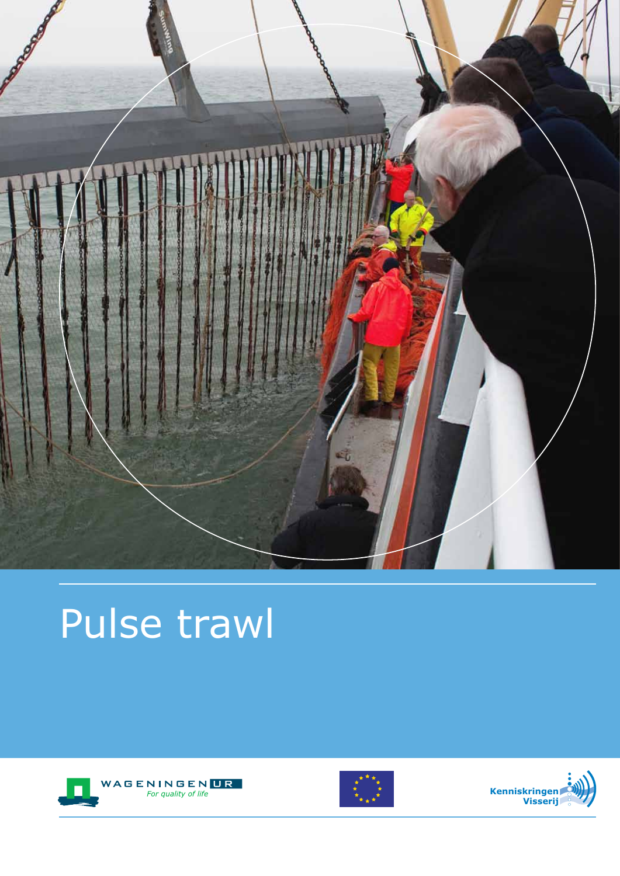

# Pulse trawl





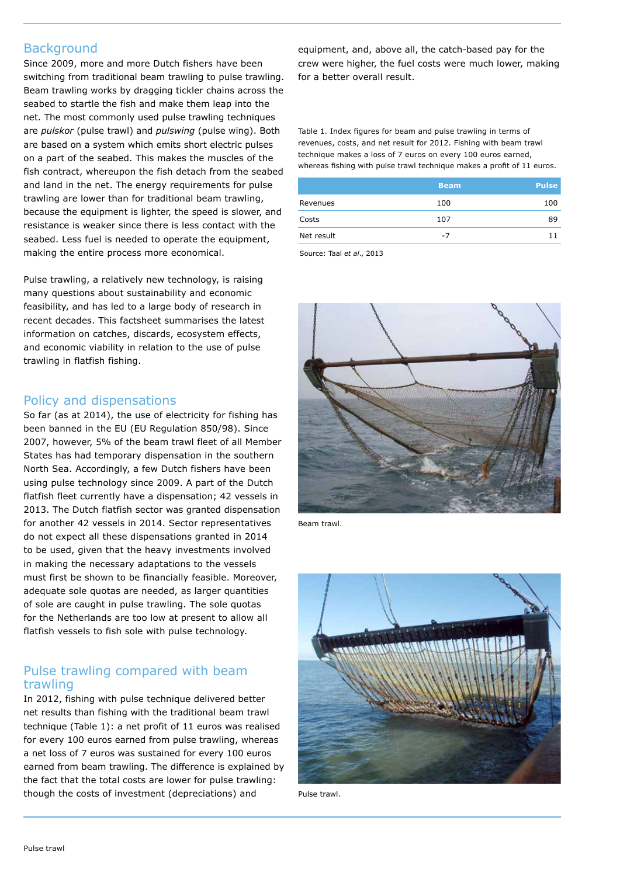# **Background**

Since 2009, more and more Dutch fishers have been switching from traditional beam trawling to pulse trawling. Beam trawling works by dragging tickler chains across the seabed to startle the fish and make them leap into the net. The most commonly used pulse trawling techniques are *pulskor* (pulse trawl) and *pulswing* (pulse wing). Both are based on a system which emits short electric pulses on a part of the seabed. This makes the muscles of the fish contract, whereupon the fish detach from the seabed and land in the net. The energy requirements for pulse trawling are lower than for traditional beam trawling, because the equipment is lighter, the speed is slower, and resistance is weaker since there is less contact with the seabed. Less fuel is needed to operate the equipment, making the entire process more economical.

Pulse trawling, a relatively new technology, is raising many questions about sustainability and economic feasibility, and has led to a large body of research in recent decades. This factsheet summarises the latest information on catches, discards, ecosystem effects, and economic viability in relation to the use of pulse trawling in flatfish fishing.

### Policy and dispensations

So far (as at 2014), the use of electricity for fishing has been banned in the EU (EU Regulation 850/98). Since 2007, however, 5% of the beam trawl fleet of all Member States has had temporary dispensation in the southern North Sea. Accordingly, a few Dutch fishers have been using pulse technology since 2009. A part of the Dutch flatfish fleet currently have a dispensation; 42 vessels in 2013. The Dutch flatfish sector was granted dispensation for another 42 vessels in 2014. Sector representatives do not expect all these dispensations granted in 2014 to be used, given that the heavy investments involved in making the necessary adaptations to the vessels must first be shown to be financially feasible. Moreover, adequate sole quotas are needed, as larger quantities of sole are caught in pulse trawling. The sole quotas for the Netherlands are too low at present to allow all flatfish vessels to fish sole with pulse technology.

### Pulse trawling compared with beam trawling

In 2012, fishing with pulse technique delivered better net results than fishing with the traditional beam trawl technique (Table 1): a net profit of 11 euros was realised for every 100 euros earned from pulse trawling, whereas a net loss of 7 euros was sustained for every 100 euros earned from beam trawling. The difference is explained by the fact that the total costs are lower for pulse trawling: though the costs of investment (depreciations) and

equipment, and, above all, the catch-based pay for the crew were higher, the fuel costs were much lower, making for a better overall result.

Table 1. Index figures for beam and pulse trawling in terms of revenues, costs, and net result for 2012. Fishing with beam trawl technique makes a loss of 7 euros on every 100 euros earned, whereas fishing with pulse trawl technique makes a profit of 11 euros.

| <b>Beam</b> | <b>Pulse</b> |
|-------------|--------------|
| 100         | 100          |
| 107         | 89           |
| $-7$        | 11           |
|             |              |

Source: Taal *et al*., 2013



Beam trawl.



Pulse trawl.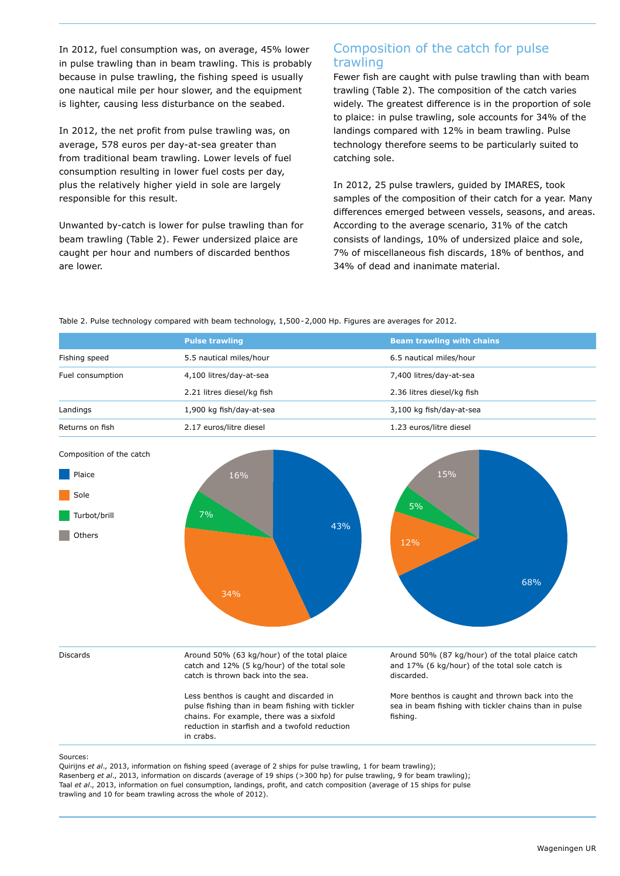In 2012, fuel consumption was, on average, 45% lower in pulse trawling than in beam trawling. This is probably because in pulse trawling, the fishing speed is usually one nautical mile per hour slower, and the equipment is lighter, causing less disturbance on the seabed.

In 2012, the net profit from pulse trawling was, on average, 578 euros per day-at-sea greater than from traditional beam trawling. Lower levels of fuel consumption resulting in lower fuel costs per day, plus the relatively higher yield in sole are largely responsible for this result.

Unwanted by-catch is lower for pulse trawling than for beam trawling (Table 2). Fewer undersized plaice are caught per hour and numbers of discarded benthos are lower.

# Composition of the catch for pulse trawling

Fewer fish are caught with pulse trawling than with beam trawling (Table 2). The composition of the catch varies widely. The greatest difference is in the proportion of sole to plaice: in pulse trawling, sole accounts for 34% of the landings compared with 12% in beam trawling. Pulse technology therefore seems to be particularly suited to catching sole.

In 2012, 25 pulse trawlers, guided by IMARES, took samples of the composition of their catch for a year. Many differences emerged between vessels, seasons, and areas. According to the average scenario, 31% of the catch consists of landings, 10% of undersized plaice and sole, 7% of miscellaneous fish discards, 18% of benthos, and 34% of dead and inanimate material.

Table 2. Pulse technology compared with beam technology, 1,500-2,000 Hp. Figures are averages for 2012.

|                          | <b>Pulse trawling</b>                                                                                                                                                                                | <b>Beam trawling with chains</b>                                                                                     |  |
|--------------------------|------------------------------------------------------------------------------------------------------------------------------------------------------------------------------------------------------|----------------------------------------------------------------------------------------------------------------------|--|
| Fishing speed            | 5.5 nautical miles/hour                                                                                                                                                                              | 6.5 nautical miles/hour                                                                                              |  |
| Fuel consumption         | 4,100 litres/day-at-sea                                                                                                                                                                              | 7,400 litres/day-at-sea                                                                                              |  |
|                          | 2.21 litres diesel/kg fish                                                                                                                                                                           | 2.36 litres diesel/kg fish                                                                                           |  |
| Landings                 | 1,900 kg fish/day-at-sea                                                                                                                                                                             | 3,100 kg fish/day-at-sea                                                                                             |  |
| Returns on fish          | 2.17 euros/litre diesel                                                                                                                                                                              | 1.23 euros/litre diesel                                                                                              |  |
| Composition of the catch |                                                                                                                                                                                                      |                                                                                                                      |  |
| Plaice                   | 16%                                                                                                                                                                                                  | 15%                                                                                                                  |  |
| Sole                     |                                                                                                                                                                                                      |                                                                                                                      |  |
| Turbot/brill             | 7%                                                                                                                                                                                                   | 5%                                                                                                                   |  |
| Others                   | 43%                                                                                                                                                                                                  | 12%                                                                                                                  |  |
|                          | 34%                                                                                                                                                                                                  | 68%                                                                                                                  |  |
| <b>Discards</b>          | Around 50% (63 kg/hour) of the total plaice<br>catch and 12% (5 kg/hour) of the total sole<br>catch is thrown back into the sea.                                                                     | Around 50% (87 kg/hour) of the total plaice catch<br>and 17% (6 kg/hour) of the total sole catch is<br>discarded.    |  |
|                          | Less benthos is caught and discarded in<br>pulse fishing than in beam fishing with tickler<br>chains. For example, there was a sixfold<br>reduction in starfish and a twofold reduction<br>in crabs. | More benthos is caught and thrown back into the<br>sea in beam fishing with tickler chains than in pulse<br>fishing. |  |

Sources:

Quirijns *et al*., 2013, information on fishing speed (average of 2 ships for pulse trawling, 1 for beam trawling); Rasenberg *et al*., 2013, information on discards (average of 19 ships (>300 hp) for pulse trawling, 9 for beam trawling); Taal *et al*., 2013, information on fuel consumption, landings, profit, and catch composition (average of 15 ships for pulse

trawling and 10 for beam trawling across the whole of 2012).